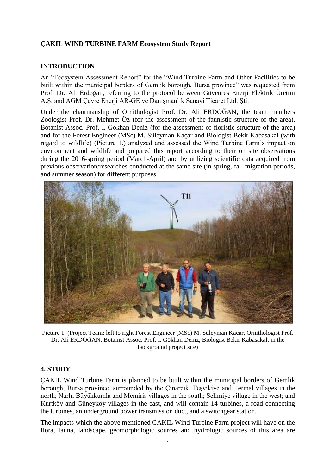## **ÇAKIL WIND TURBINE FARM Ecosystem Study Report**

#### **INTRODUCTION**

An "Ecosystem Assessment Report" for the "Wind Turbine Farm and Other Facilities to be built within the municipal borders of Gemlik borough, Bursa province" was requested from Prof. Dr. Ali Erdoğan, referring to the protocol between Güvenres Enerji Elektrik Üretim A.Ş. and AGM Çevre Enerji AR-GE ve Danışmanlık Sanayi Ticaret Ltd. Şti.

Under the chairmanship of Ornithologist Prof. Dr. Ali ERDOĞAN, the team members Zoologist Prof. Dr. Mehmet Öz (for the assessment of the faunistic structure of the area), Botanist Assoc. Prof. I. Gökhan Deniz (for the assessment of floristic structure of the area) and for the Forest Engineer (MSc) M. Süleyman Kaçar and Biologist Bekir Kabasakal (with regard to wildlife) (Picture 1.) analyzed and assessed the Wind Turbine Farm's impact on environment and wildlife and prepared this report according to their on site observations during the 2016-spring period (March-April) and by utilizing scientific data acquired from previous observation/researches conducted at the same site (in spring, fall migration periods, and summer season) for different purposes.



Picture 1. (Project Team; left to right Forest Engineer (MSc) M. Süleyman Kaçar, Ornithologist Prof. Dr. Ali ERDOĞAN, Botanist Assoc. Prof. I. Gökhan Deniz, Biologist Bekir Kabasakal, in the background project site)

#### **4. STUDY**

ÇAKIL Wind Turbine Farm is planned to be built within the municipal borders of Gemlik borough, Bursa province, surrounded by the Çınarcık, Teşvikiye and Termal villages in the north; Narlı, Büyükkumla and Memiris villages in the south; Selimiye village in the west; and Kurtköy and Güneyköy villages in the east, and will contain 14 turbines, a road connecting the turbines, an underground power transmission duct, and a switchgear station.

The impacts which the above mentioned ÇAKIL Wind Turbine Farm project will have on the flora, fauna, landscape, geomorphologic sources and hydrologic sources of this area are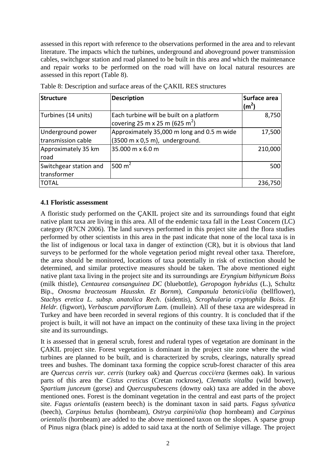assessed in this report with reference to the observations performed in the area and to relevant literature. The impacts which the turbines, underground and aboveground power transmission cables, switchgear station and road planned to be built in this area and which the maintenance and repair works to be performed on the road will have on local natural resources are assessed in this report (Table 8).

| Structure                               | <b>Description</b>                                                                                   | Surface area<br>(m <sup>2</sup> ) |
|-----------------------------------------|------------------------------------------------------------------------------------------------------|-----------------------------------|
| Turbines (14 units)                     | Each turbine will be built on a platform<br>covering 25 m x 25 m (625 m <sup>2</sup> )               | 8,750                             |
| Underground power<br>transmission cable | Approximately 35,000 m long and 0.5 m wide<br>$(3500 \text{ m} \times 0.5 \text{ m})$ , underground. | 17,500                            |
| Approximately 35 km<br>road             | 35.000 m x 6.0 m                                                                                     | 210,000                           |
| Switchgear station and<br>transformer   | 500 $m2$                                                                                             | 500                               |
| ITOTAL                                  |                                                                                                      | 236,750                           |

Table 8: Description and surface areas of the ÇAKIL RES structures

## **4.1 Floristic assessment**

A floristic study performed on the ÇAKIL project site and its surroundings found that eight native plant taxa are living in this area. All of the endemic taxa fall in the Least Concern (LC) category (R7CN 2006). The land surveys performed in this project site and the flora studies performed by other scientists in this area in the past indicate that none of the local taxa is in the list of indigenous or local taxa in danger of extinction (CR), but it is obvious that land surveys to be performed for the whole vegetation period might reveal other taxa. Therefore, the area should be monitored, locations of taxa potentially in risk of extinction should be determined, and similar protective measures should be taken. The above mentioned eight native plant taxa living in the project site and its surroundings are *Eryngium bithynicum Boiss* (milk thistle), *Centaurea consanguinea DC* (bluebottle), *Geropogon hybridus* (L.), Schultz Bip., *Onosma bracteosum Hausskn. Et Bornm*), *Campanula betonici/olia* (bellflower), *Stachys eretica L. subsp. anatolica Rech*. (sidentis), *Scrophularia cryptophila Boiss. Et Heldr.* (figwort), *Verbascum parviflorum Lam.* (mullein). All of these taxa are widespread in Turkey and have been recorded in several regions of this country. It is concluded that if the project is built, it will not have an impact on the continuity of these taxa living in the project site and its surroundings.

It is assessed that in general scrub, forest and ruderal types of vegetation are dominant in the ÇAKIL project site. Forest vegetation is dominant in the project site zone where the wind turbines are planned to be built, and is characterized by scrubs, clearings, naturally spread trees and bushes. The dominant taxa forming the coppice scrub-forest character of this area are *Quercus cerris var. cerris* (turkey oak) and *Quercus cocci/era* (kermes oak). In various parts of this area the *Cistus creticus* (Cretan rockrose), *Clematis vitalba* (wild bower), *Spartium junceum* (gorse) and *Quercuspubescens* (downy oak) taxa are added in the above mentioned ones. Forest is the dominant vegetation in the central and east parts of the project site. *Fagus orientalis* (eastern beech) is the dominant taxon in said parts. *Fagus sylvatica* (beech), *Carpinus betulus* (hornbeam), *Ostrya carpini/olia* (hop hornbeam) and *Carpinus orientalis* (hornbeam) are added to the above mentioned taxon on the slopes. A sparse group of Pinus nigra (black pine) is added to said taxa at the north of Selimiye village. The project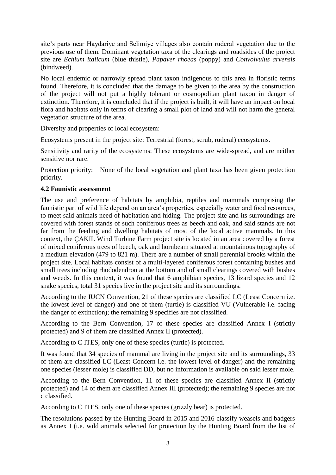site's parts near Haydariye and Selimiye villages also contain ruderal vegetation due to the previous use of them. Dominant vegetation taxa of the clearings and roadsides of the project site are *Echium italicum* (blue thistle), *Papaver rhoeas* (poppy) and *Convolvulus arvensis* (bindweed).

No local endemic or narrowly spread plant taxon indigenous to this area in floristic terms found. Therefore, it is concluded that the damage to be given to the area by the construction of the project will not put a highly tolerant or cosmopolitan plant taxon in danger of extinction. Therefore, it is concluded that if the project is built, it will have an impact on local flora and habitats only in terms of clearing a small plot of land and will not harm the general vegetation structure of the area.

Diversity and properties of local ecosystem:

Ecosystems present in the project site: Terrestrial (forest, scrub, ruderal) ecosystems.

Sensitivity and rarity of the ecosystems: These ecosystems are wide-spread, and are neither sensitive nor rare.

Protection priority: None of the local vegetation and plant taxa has been given protection priority.

## **4.2 Faunistic assessment**

The use and preference of habitats by amphibia, reptiles and mammals comprising the faunistic part of wild life depend on an area's properties, especially water and food resources, to meet said animals need of habitation and hiding. The project site and its surroundings are covered with forest stands of such coniferous trees as beech and oak, and said stands are not far from the feeding and dwelling habitats of most of the local active mammals. In this context, the ÇAKIL Wind Turbine Farm project site is located in an area covered by a forest of mixed coniferous trees of beech, oak and hornbeam situated at mountainous topography of a medium elevation (479 to 821 m). There are a number of small perennial brooks within the project site. Local habitats consist of a multi-layered coniferous forest containing bushes and small trees including rhododendron at the bottom and of small clearings covered with bushes and weeds. In this context, it was found that 6 amphibian species, 13 lizard species and 12 snake species, total 31 species live in the project site and its surroundings.

According to the IUCN Convention, 21 of these species are classified LC (Least Concern i.e. the lowest level of danger) and one of them (turtle) is classified VU (Vulnerable i.e. facing the danger of extinction); the remaining 9 specifies are not classified.

According to the Bern Convention, 17 of these species are classified Annex I (strictly protected) and 9 of them are classified Annex II (protected).

According to C ITES, only one of these species (turtle) is protected.

It was found that 34 species of mammal are living in the project site and its surroundings, 33 of them are classified LC (Least Concern i.e. the lowest level of danger) and the remaining one species (lesser mole) is classified DD, but no information is available on said lesser mole.

According to the Bern Convention, 11 of these species are classified Annex II (strictly protected) and 14 of them are classified Annex III (protected); the remaining 9 species are not c classified.

According to C ITES, only one of these species (grizzly bear) is protected.

The resolutions passed by the Hunting Board in 2015 and 2016 classify weasels and badgers as Annex I (i.e. wild animals selected for protection by the Hunting Board from the list of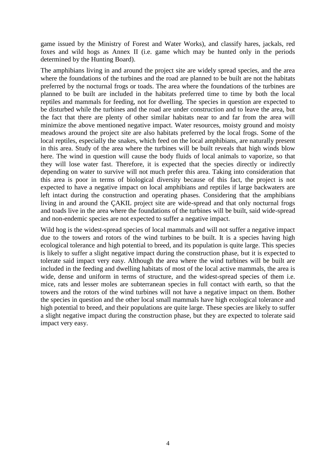game issued by the Ministry of Forest and Water Works), and classify hares, jackals, red foxes and wild hogs as Annex II (i.e. game which may be hunted only in the periods determined by the Hunting Board).

The amphibians living in and around the project site are widely spread species, and the area where the foundations of the turbines and the road are planned to be built are not the habitats preferred by the nocturnal frogs or toads. The area where the foundations of the turbines are planned to be built are included in the habitats preferred time to time by both the local reptiles and mammals for feeding, not for dwelling. The species in question are expected to be disturbed while the turbines and the road are under construction and to leave the area, but the fact that there are plenty of other similar habitats near to and far from the area will minimize the above mentioned negative impact. Water resources, moisty ground and moisty meadows around the project site are also habitats preferred by the local frogs. Some of the local reptiles, especially the snakes, which feed on the local amphibians, are naturally present in this area. Study of the area where the turbines will be built reveals that high winds blow here. The wind in question will cause the body fluids of local animals to vaporize, so that they will lose water fast. Therefore, it is expected that the species directly or indirectly depending on water to survive will not much prefer this area. Taking into consideration that this area is poor in terms of biological diversity because of this fact, the project is not expected to have a negative impact on local amphibians and reptiles if large backwaters are left intact during the construction and operating phases. Considering that the amphibians living in and around the ÇAKIL project site are wide-spread and that only nocturnal frogs and toads live in the area where the foundations of the turbines will be built, said wide-spread and non-endemic species are not expected to suffer a negative impact.

Wild hog is the widest-spread species of local mammals and will not suffer a negative impact due to the towers and rotors of the wind turbines to be built. It is a species having high ecological tolerance and high potential to breed, and its population is quite large. This species is likely to suffer a slight negative impact during the construction phase, but it is expected to tolerate said impact very easy. Although the area where the wind turbines will be built are included in the feeding and dwelling habitats of most of the local active mammals, the area is wide, dense and uniform in terms of structure, and the widest-spread species of them i.e. mice, rats and lesser moles are subterranean species in full contact with earth, so that the towers and the rotors of the wind turbines will not have a negative impact on them. Bother the species in question and the other local small mammals have high ecological tolerance and high potential to breed, and their populations are quite large. These species are likely to suffer a slight negative impact during the construction phase, but they are expected to tolerate said impact very easy.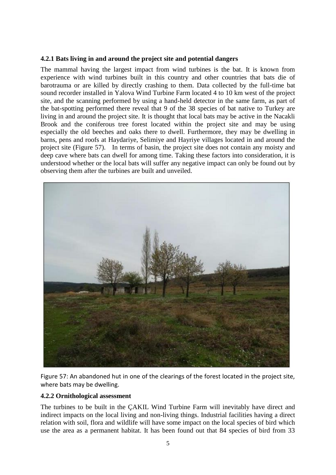## **4.2.1 Bats living in and around the project site and potential dangers**

The mammal having the largest impact from wind turbines is the bat. It is known from experience with wind turbines built in this country and other countries that bats die of barotrauma or are killed by directly crashing to them. Data collected by the full-time bat sound recorder installed in Yalova Wind Turbine Farm located 4 to 10 km west of the project site, and the scanning performed by using a hand-held detector in the same farm, as part of the bat-spotting performed there reveal that 9 of the 38 species of bat native to Turkey are living in and around the project site. It is thought that local bats may be active in the Nacakli Brook and the coniferous tree forest located within the project site and may be using especially the old beeches and oaks there to dwell. Furthermore, they may be dwelling in barns, pens and roofs at Haydariye, Selimiye and Hayriye villages located in and around the project site (Figure 57). In terms of basin, the project site does not contain any moisty and deep cave where bats can dwell for among time. Taking these factors into consideration, it is understood whether or the local bats will suffer any negative impact can only be found out by observing them after the turbines are built and unveiled.



Figure 57: An abandoned hut in one of the clearings of the forest located in the project site, where bats may be dwelling.

#### **4.2.2 Ornithological assessment**

The turbines to be built in the ÇAKIL Wind Turbine Farm will inevitably have direct and indirect impacts on the local living and non-living things. Industrial facilities having a direct relation with soil, flora and wildlife will have some impact on the local species of bird which use the area as a permanent habitat. It has been found out that 84 species of bird from 33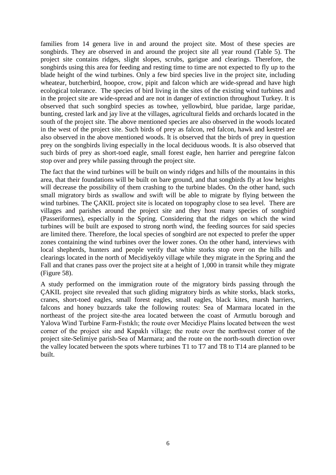families from 14 genera live in and around the project site. Most of these species are songbirds. They are observed in and around the project site all year round (Table 5). The project site contains ridges, slight slopes, scrubs, garigue and clearings. Therefore, the songbirds using this area for feeding and resting time to time are not expected to fly up to the blade height of the wind turbines. Only a few bird species live in the project site, including wheatear, butcherbird, hoopoe, crow, pipit and falcon which are wide-spread and have high ecological tolerance. The species of bird living in the sites of the existing wind turbines and in the project site are wide-spread and are not in danger of extinction throughout Turkey. It is observed that such songbird species as towhee, yellowbird, blue paridae, large paridae, bunting, crested lark and jay live at the villages, agricultural fields and orchards located in the south of the project site. The above mentioned species are also observed in the woods located in the west of the project site. Such birds of prey as falcon, red falcon, hawk and kestrel are also observed in the above mentioned woods. It is observed that the birds of prey in question prey on the songbirds living especially in the local deciduous woods. It is also observed that such birds of prey as short-toed eagle, small forest eagle, hen harrier and peregrine falcon stop over and prey while passing through the project site.

The fact that the wind turbines will be built on windy ridges and hills of the mountains in this area, that their foundations will be built on bare ground, and that songbirds fly at low heights will decrease the possibility of them crashing to the turbine blades. On the other hand, such small migratory birds as swallow and swift will be able to migrate by flying between the wind turbines. The ÇAKIL project site is located on topography close to sea level. There are villages and parishes around the project site and they host many species of songbird (Passeriformes), especially in the Spring. Considering that the ridges on which the wind turbines will be built are exposed to strong north wind, the feeding sources for said species are limited there. Therefore, the local species of songbird are not expected to prefer the upper zones containing the wind turbines over the lower zones. On the other hand, interviews with local shepherds, hunters and people verify that white storks stop over on the hills and clearings located in the north of Mecidiyeköy village while they migrate in the Spring and the Fall and that cranes pass over the project site at a height of 1,000 in transit while they migrate (Figure 58).

A study performed on the immigration route of the migratory birds passing through the ÇAKIL project site revealed that such gliding migratory birds as white storks, black storks, cranes, short-toed eagles, small forest eagles, small eagles, black kites, marsh harriers, falcons and honey buzzards take the following routes: Sea of Marmara located in the northeast of the project site-the area located between the coast of Armutlu borough and Yalova Wind Turbine Farm-Fıstıklı; the route over Mecidiye Plains located between the west corner of the project site and Kapaklı village; the route over the northwest corner of the project site-Selimiye parish-Sea of Marmara; and the route on the north-south direction over the valley located between the spots where turbines T1 to T7 and T8 to T14 are planned to be built.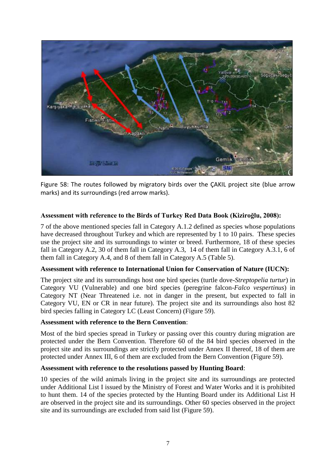

Figure 58: The routes followed by migratory birds over the ÇAKIL project site (blue arrow marks) and its surroundings (red arrow marks).

## **Assessment with reference to the Birds of Turkey Red Data Book (Kiziroğlu, 2008):**

7 of the above mentioned species fall in Category A.1.2 defined as species whose populations have decreased throughout Turkey and which are represented by 1 to 10 pairs. These species use the project site and its surroundings to winter or breed. Furthermore, 18 of these species fall in Category A.2, 30 of them fall in Category A.3, 14 of them fall in Category A.3.1, 6 of them fall in Category A.4, and 8 of them fall in Category A.5 (Table 5).

### **Assessment with reference to International Union for Conservation of Nature (IUCN):**

The project site and its surroundings host one bird species (turtle dove*-Streptopelia turtur*) in Category VU (Vulnerable) and one bird species (peregrine falcon-*Falco vespertinus*) in Category NT (Near Threatened i.e. not in danger in the present, but expected to fall in Category VU, EN or CR in near future). The project site and its surroundings also host 82 bird species falling in Category LC (Least Concern) (Figure 59).

#### **Assessment with reference to the Bern Convention**:

Most of the bird species spread in Turkey or passing over this country during migration are protected under the Bern Convention. Therefore 60 of the 84 bird species observed in the project site and its surroundings are strictly protected under Annex II thereof, 18 of them are protected under Annex III, 6 of them are excluded from the Bern Convention (Figure 59).

#### **Assessment with reference to the resolutions passed by Hunting Board**:

10 species of the wild animals living in the project site and its surroundings are protected under Additional List I issued by the Ministry of Forest and Water Works and it is prohibited to hunt them. 14 of the species protected by the Hunting Board under its Additional List H are observed in the project site and its surroundings. Other 60 species observed in the project site and its surroundings are excluded from said list (Figure 59).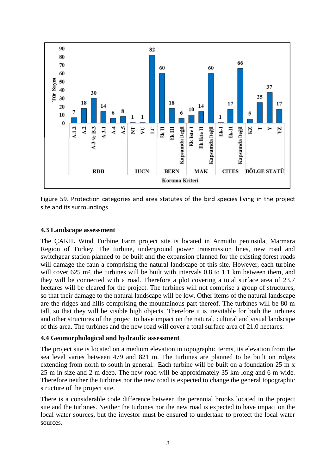

Figure 59. Protection categories and area statutes of the bird species living in the project site and its surroundings

#### **4.3 Landscape assessment**

The ÇAKIL Wind Turbine Farm project site is located in Armutlu peninsula, Marmara Region of Turkey. The turbine, underground power transmission lines, new road and switchgear station planned to be built and the expansion planned for the existing forest roads will damage the faun a comprising the natural landscape of this site. However, each turbine will cover 625 m<sup>2</sup>, the turbines will be built with intervals 0.8 to 1.1 km between them, and they will be connected with a road. Therefore a plot covering a total surface area of 23.7 hectares will be cleared for the project. The turbines will not comprise a group of structures, so that their damage to the natural landscape will be low. Other items of the natural landscape are the ridges and hills comprising the mountainous part thereof. The turbines will be 80 m tall, so that they will be visible high objects. Therefore it is inevitable for both the turbines and other structures of the project to have impact on the natural, cultural and visual landscape of this area. The turbines and the new road will cover a total surface area of 21.0 hectares.

# **4.4 Geomorphological and hydraulic assessment**

The project site is located on a medium elevation in topographic terms, its elevation from the sea level varies between 479 and 821 m. The turbines are planned to be built on ridges extending from north to south in general. Each turbine will be built on a foundation 25 m x 25 m in size and 2 m deep. The new road will be approximately 35 km long and 6 m wide. Therefore neither the turbines nor the new road is expected to change the general topographic structure of the project site.

There is a considerable code difference between the perennial brooks located in the project site and the turbines. Neither the turbines nor the new road is expected to have impact on the local water sources, but the investor must be ensured to undertake to protect the local water sources.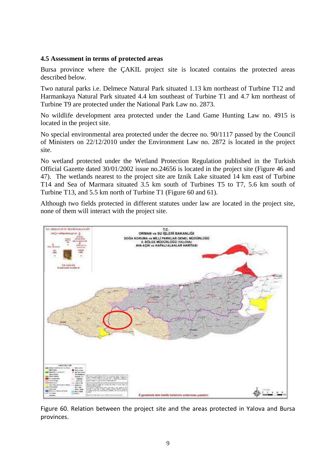### **4.5 Assessment in terms of protected areas**

Bursa province where the ÇAKIL project site is located contains the protected areas described below.

Two natural parks i.e. Delmece Natural Park situated 1.13 km northeast of Turbine T12 and Harmankaya Natural Park situated 4.4 km southeast of Turbine T1 and 4.7 km northeast of Turbine T9 are protected under the National Park Law no. 2873.

No wildlife development area protected under the Land Game Hunting Law no. 4915 is located in the project site.

No special environmental area protected under the decree no. 90/1117 passed by the Council of Ministers on 22/12/2010 under the Environment Law no. 2872 is located in the project site.

No wetland protected under the Wetland Protection Regulation published in the Turkish Official Gazette dated 30/01/2002 issue no.24656 is located in the project site (Figure 46 and 47). The wetlands nearest to the project site are Iznik Lake situated 14 km east of Turbine T14 and Sea of Marmara situated 3.5 km south of Turbines T5 to T7, 5.6 km south of Turbine T13, and 5.5 km north of Turbine T1 (Figure 60 and 61).

Although two fields protected in different statutes under law are located in the project site, none of them will interact with the project site.



Figure 60. Relation between the project site and the areas protected in Yalova and Bursa provinces.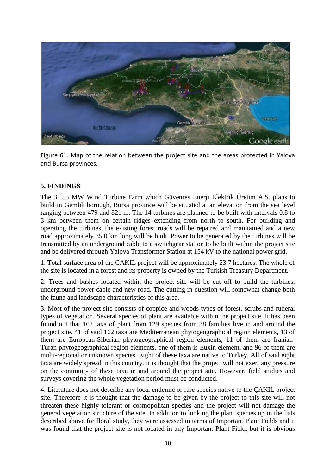

Figure 61. Map of the relation between the project site and the areas protected in Yalova and Bursa provinces.

## **5. FINDINGS**

The 31.55 MW Wind Turbine Farm which Güvenres Enerji Elektrik Üretim A.S. plans to build in Gemlik borough, Bursa province will be situated at an elevation from the sea level ranging between 479 and 821 m. The 14 turbines are planned to be built with intervals 0.8 to 3 km between them on certain ridges extending from north to south. For building and operating the turbines, the existing forest roads will be repaired and maintained and a new road approximately 35.0 km long will be built. Power to be generated by the turbines will be transmitted by an underground cable to a switchgear station to be built within the project site and be delivered through Yalova Transformer Station at 154 kV to the national power grid.

1. Total surface area of the ÇAKIL project will be approximately 23.7 hectares. The whole of the site is located in a forest and its property is owned by the Turkish Treasury Department.

2. Trees and bushes located within the project site will be cut off to build the turbines, underground power cable and new road. The cutting in question will somewhat change both the fauna and landscape characteristics of this area.

3. Most of the project site consists of coppice and woods types of forest, scrubs and ruderal types of vegetation. Several species of plant are available within the project site. It has been found out that 162 taxa of plant from 129 species from 38 families live in and around the project site. 41 of said 162 taxa are Mediterranean phytogeographical region elements, 13 of them are European-Siberian phytogeographical region elements, 11 of them are Iranian-Turan phytogeographical region elements, one of them is Euxin element, and 96 of them are multi-regional or unknown species. Eight of these taxa are native to Turkey. All of said eight taxa are widely spread in this country. It is thought that the project will not exert any pressure on the continuity of these taxa in and around the project site. However, field studies and surveys covering the whole vegetation period must be conducted.

4. Literature does not describe any local endemic or rare species native to the ÇAKIL project site. Therefore it is thought that the damage to be given by the project to this site will not threaten these highly tolerant or cosmopolitan species and the project will not damage the general vegetation structure of the site. In addition to looking the plant species up in the lists described above for floral study, they were assessed in terms of Important Plant Fields and it was found that the project site is not located in any Important Plant Field, but it is obvious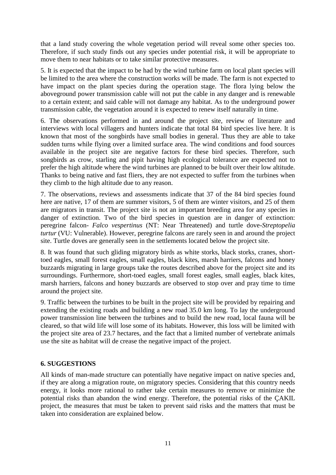that a land study covering the whole vegetation period will reveal some other species too. Therefore, if such study finds out any species under potential risk, it will be appropriate to move them to near habitats or to take similar protective measures.

5. It is expected that the impact to be had by the wind turbine farm on local plant species will be limited to the area where the construction works will be made. The farm is not expected to have impact on the plant species during the operation stage. The flora lying below the aboveground power transmission cable will not put the cable in any danger and is renewable to a certain extent; and said cable will not damage any habitat. As to the underground power transmission cable, the vegetation around it is expected to renew itself naturally in time.

6. The observations performed in and around the project site, review of literature and interviews with local villagers and hunters indicate that total 84 bird species live here. It is known that most of the songbirds have small bodies in general. Thus they are able to take sudden turns while flying over a limited surface area. The wind conditions and food sources available in the project site are negative factors for these bird species. Therefore, such songbirds as crow, starling and pipit having high ecological tolerance are expected not to prefer the high altitude where the wind turbines are planned to be built over their low altitude. Thanks to being native and fast fliers, they are not expected to suffer from the turbines when they climb to the high altitude due to any reason.

7. The observations, reviews and assessments indicate that 37 of the 84 bird species found here are native, 17 of them are summer visitors, 5 of them are winter visitors, and 25 of them are migrators in transit. The project site is not an important breeding area for any species in danger of extinction. Two of the bird species in question are in danger of extinction: peregrine falcon- *Falco vespertinus* (NT: Near Threatened) and turtle dove-*Streptopelia turtur* (VU: Vulnerable). However, peregrine falcons are rarely seen in and around the project site. Turtle doves are generally seen in the settlements located below the project site.

8. It was found that such gliding migratory birds as white storks, black storks, cranes, shorttoed eagles, small forest eagles, small eagles, black kites, marsh harriers, falcons and honey buzzards migrating in large groups take the routes described above for the project site and its surroundings. Furthermore, short-toed eagles, small forest eagles, small eagles, black kites, marsh harriers, falcons and honey buzzards are observed to stop over and pray time to time around the project site.

9. Traffic between the turbines to be built in the project site will be provided by repairing and extending the existing roads and building a new road 35.0 km long. To lay the underground power transmission line between the turbines and to build the new road, local fauna will be cleared, so that wild life will lose some of its habitats. However, this loss will be limited with the project site area of 23.7 hectares, and the fact that a limited number of vertebrate animals use the site as habitat will de crease the negative impact of the project.

# **6. SUGGESTIONS**

All kinds of man-made structure can potentially have negative impact on native species and, if they are along a migration route, on migratory species. Considering that this country needs energy, it looks more rational to rather take certain measures to remove or minimize the potential risks than abandon the wind energy. Therefore, the potential risks of the ÇAKIL project, the measures that must be taken to prevent said risks and the matters that must be taken into consideration are explained below.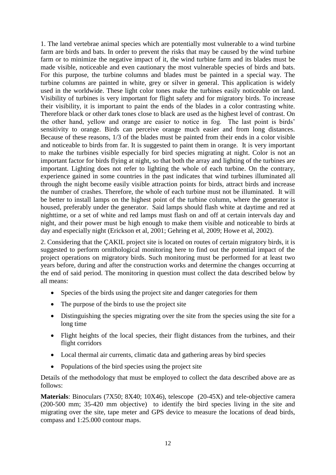1. The land vertebrae animal species which are potentially most vulnerable to a wind turbine farm are birds and bats. In order to prevent the risks that may be caused by the wind turbine farm or to minimize the negative impact of it, the wind turbine farm and its blades must be made visible, noticeable and even cautionary the most vulnerable species of birds and bats. For this purpose, the turbine columns and blades must be painted in a special way. The turbine columns are painted in white, grey or silver in general. This application is widely used in the worldwide. These light color tones make the turbines easily noticeable on land. Visibility of turbines is very important for flight safety and for migratory birds. To increase their visibility, it is important to paint the ends of the blades in a color contrasting white. Therefore black or other dark tones close to black are used as the highest level of contrast. On the other hand, yellow and orange are easier to notice in fog. The last point is birds' sensitivity to orange. Birds can perceive orange much easier and from long distances. Because of these reasons, 1/3 of the blades must be painted from their ends in a color visible and noticeable to birds from far. It is suggested to paint them in orange. It is very important to make the turbines visible especially for bird species migrating at night. Color is not an important factor for birds flying at night, so that both the array and lighting of the turbines are important. Lighting does not refer to lighting the whole of each turbine. On the contrary, experience gained in some countries in the past indicates that wind turbines illuminated all through the night become easily visible attraction points for birds, attract birds and increase the number of crashes. Therefore, the whole of each turbine must not be illuminated. It will be better to install lamps on the highest point of the turbine column, where the generator is housed, preferably under the generator. Said lamps should flash white at daytime and red at nighttime, or a set of white and red lamps must flash on and off at certain intervals day and night, and their power must be high enough to make them visible and noticeable to birds at day and especially night (Erickson et al, 2001; Gehring et al, 2009; Howe et al, 2002).

2. Considering that the ÇAKIL project site is located on routes of certain migratory birds, it is suggested to perform ornithological monitoring here to find out the potential impact of the project operations on migratory birds. Such monitoring must be performed for at least two years before, during and after the construction works and determine the changes occurring at the end of said period. The monitoring in question must collect the data described below by all means:

- Species of the birds using the project site and danger categories for them
- The purpose of the birds to use the project site
- Distinguishing the species migrating over the site from the species using the site for a long time
- Flight heights of the local species, their flight distances from the turbines, and their flight corridors
- Local thermal air currents, climatic data and gathering areas by bird species
- Populations of the bird species using the project site

Details of the methodology that must be employed to collect the data described above are as follows:

**Materials**: Binoculars (7X50; 8X40; 10X46), telescope (20-45X) and tele-objective camera (200-500 mm; 35-420 mm objective) to identify the bird species living in the site and migrating over the site, tape meter and GPS device to measure the locations of dead birds, compass and 1:25.000 contour maps.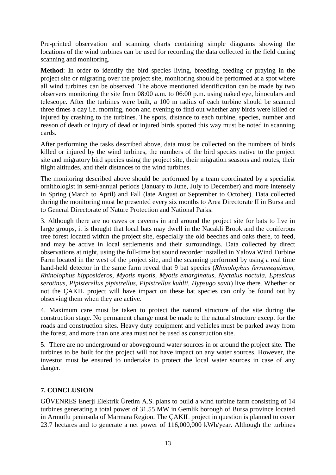Pre-printed observation and scanning charts containing simple diagrams showing the locations of the wind turbines can be used for recording the data collected in the field during scanning and monitoring.

**Method**: In order to identify the bird species living, breeding, feeding or praying in the project site or migrating over the project site, monitoring should be performed at a spot where all wind turbines can be observed. The above mentioned identification can be made by two observers monitoring the site from 08:00 a.m. to 06:00 p.m. using naked eye, binoculars and telescope. After the turbines were built, a 100 m radius of each turbine should be scanned three times a day i.e. morning, noon and evening to find out whether any birds were killed or injured by crashing to the turbines. The spots, distance to each turbine, species, number and reason of death or injury of dead or injured birds spotted this way must be noted in scanning cards.

After performing the tasks described above, data must be collected on the numbers of birds killed or injured by the wind turbines, the numbers of the bird species native to the project site and migratory bird species using the project site, their migration seasons and routes, their flight altitudes, and their distances to the wind turbines.

The monitoring described above should be performed by a team coordinated by a specialist ornithologist in semi-annual periods (January to June, July to December) and more intensely in Spring (March to April) and Fall (late August or September to October). Data collected during the monitoring must be presented every six months to Area Directorate II in Bursa and to General Directorate of Nature Protection and National Parks.

3. Although there are no caves or caverns in and around the project site for bats to live in large groups, it is thought that local bats may dwell in the Nacakli Brook and the coniferous tree forest located within the project site, especially the old beeches and oaks there, to feed, and may be active in local settlements and their surroundings. Data collected by direct observations at night, using the full-time bat sound recorder installed in Yalova Wind Turbine Farm located in the west of the project site, and the scanning performed by using a real time hand-held detector in the same farm reveal that 9 bat species (*Rhinolophııs ferrumequinum, Rhinolophus hipposideros, Myotis myotis, Myotis emarginatus, Nyctalus noctula, Eptesicus serotinus, Pipisterellus pipistrellus, Pipistrellus kuhlii, Hypsugo savii*) live there. Whether or not the ÇAKIL project will have impact on these bat species can only be found out by observing them when they are active.

4. Maximum care must be taken to protect the natural structure of the site during the construction stage. No permanent change must be made to the natural structure except for the roads and construction sites. Heavy duty equipment and vehicles must be parked away from the forest, and more than one area must not be used as construction site.

5. There are no underground or aboveground water sources in or around the project site. The turbines to be built for the project will not have impact on any water sources. However, the investor must be ensured to undertake to protect the local water sources in case of any danger.

# **7. CONCLUSION**

GÜVENRES Enerji Elektrik Üretim A.S. plans to build a wind turbine farm consisting of 14 turbines generating a total power of 31.55 MW in Gemlik borough of Bursa province located in Armutlu peninsula of Marmara Region. The ÇAKIL project in question is planned to cover 23.7 hectares and to generate a net power of 116,000,000 kWh/year. Although the turbines